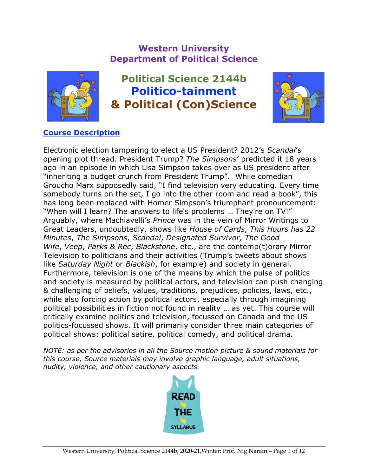# **Western University Department of Political Science**



**Political Science 2144b Politico-tainment & Political (Con)Science**



# **Course Description**

Electronic election tampering to elect a US President? 2012's *Scandal*'s opening plot thread. President Trump? *The Simpsons*' predicted it 18 years ago in an episode in which Lisa Simpson takes over as US president after "inheriting a budget crunch from President Trump". While comedian Groucho Marx supposedly said, "I find television very educating. Every time somebody turns on the set, I go into the other room and read a book", this has long been replaced with Homer Simpson's triumphant pronouncement: "When will I learn? The answers to life's problems … They're on TV!" Arguably, where Machiavelli's *Prince* was in the vein of Mirror Writings to Great Leaders, undoubtedly, shows like *House of Cards*, *This Hours has 22 Minutes*, *The Simpsons*, *Scandal*, *Designated Survivor, The Good Wife*, *Veep*, *Parks & Rec*, *Blackstone*, etc., are the contemp(t)orary Mirror Television to politicians and their activities (Trump's tweets about shows like *Saturday Night* or *Blackish*, for example) and society in general. Furthermore, television is one of the means by which the pulse of politics and society is measured by political actors, and television can push changing & challenging of beliefs, values, traditions, prejudices, policies, laws, etc., while also forcing action by political actors, especially through imagining political possibilities in fiction not found in reality … as yet. This course will critically examine politics and television, focussed on Canada and the US politics-focussed shows. It will primarily consider three main categories of political shows: political satire, political comedy, and political drama.

*NOTE: as per the advisories in all the Source motion picture & sound materials for this course, Source materials may involve graphic language, adult situations, nudity, violence, and other cautionary aspects.*

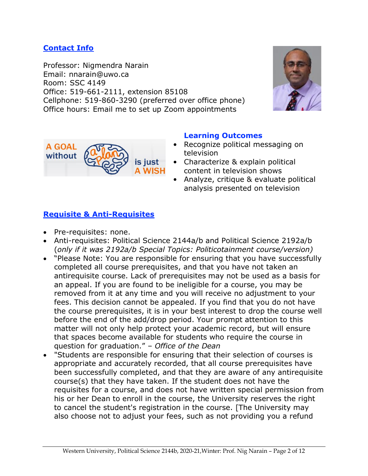#### **Contact Info**

Professor: Nigmendra Narain Email: nnarain@uwo.ca Room: SSC 4149 Office: 519-661-2111, extension 85108 Cellphone: 519-860-3290 (preferred over office phone) Office hours: Email me to set up Zoom appointments





#### **Learning Outcomes**

- Recognize political messaging on television
- Characterize & explain political content in television shows
- Analyze, critique & evaluate political analysis presented on television

## **Requisite & Anti-Requisites**

- Pre-requisites: none.
- Anti-requisites: Political Science 2144a/b and Political Science 2192a/b (*only if it was 2192a/b Special Topics: Politicotainment course/version)*
- "Please Note: You are responsible for ensuring that you have successfully completed all course prerequisites, and that you have not taken an antirequisite course. Lack of prerequisites may not be used as a basis for an appeal. If you are found to be ineligible for a course, you may be removed from it at any time and you will receive no adjustment to your fees. This decision cannot be appealed. If you find that you do not have the course prerequisites, it is in your best interest to drop the course well before the end of the add/drop period. Your prompt attention to this matter will not only help protect your academic record, but will ensure that spaces become available for students who require the course in question for graduation." – *Office of the Dean*
- "Students are responsible for ensuring that their selection of courses is appropriate and accurately recorded, that all course prerequisites have been successfully completed, and that they are aware of any antirequisite course(s) that they have taken. If the student does not have the requisites for a course, and does not have written special permission from his or her Dean to enroll in the course, the University reserves the right to cancel the student's registration in the course. [The University may also choose not to adjust your fees, such as not providing you a refund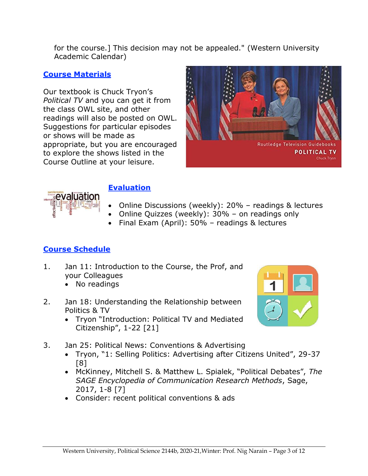for the course.] This decision may not be appealed." (Western University Academic Calendar)

#### **Course Materials**

Our textbook is Chuck Tryon's *Political TV* and you can get it from the class OWL site, and other readings will also be posted on OWL. Suggestions for particular episodes or shows will be made as appropriate, but you are encouraged to explore the shows listed in the Course Outline at your leisure.





## **Evaluation**

- Online Discussions (weekly): 20% readings & lectures
- Online Quizzes (weekly): 30% on readings only
- Final Exam (April): 50% readings & lectures

# **Course Schedule**

- 1. Jan 11: Introduction to the Course, the Prof, and your Colleagues
	- No readings
- 2. Jan 18: Understanding the Relationship between Politics & TV
	- Tryon "Introduction: Political TV and Mediated Citizenship", 1-22 [21]



- 3. Jan 25: Political News: Conventions & Advertising
	- Tryon, "1: Selling Politics: Advertising after Citizens United", 29-37 [8]
	- McKinney, Mitchell S. & Matthew L. Spialek, "Political Debates", *The SAGE Encyclopedia of Communication Research Methods*, Sage, 2017, 1-8 [7]
	- Consider: recent political conventions & ads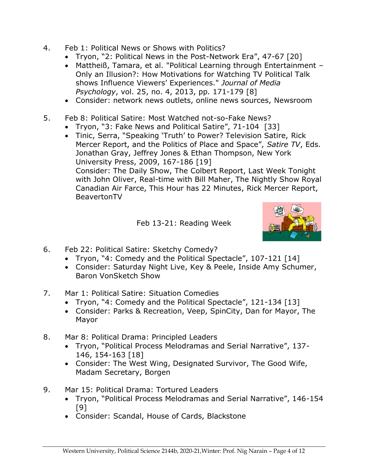- 4. Feb 1: Political News or Shows with Politics?
	- Tryon, "2: Political News in the Post-Network Era", 47-67 [20]
	- Mattheiß, Tamara, et al. "Political Learning through Entertainment Only an Illusion?: How Motivations for Watching TV Political Talk shows Influence Viewers' Experiences." *Journal of Media Psychology*, vol. 25, no. 4, 2013, pp. 171-179 [8]
	- Consider: network news outlets, online news sources, Newsroom
- 5. Feb 8: Political Satire: Most Watched not-so-Fake News?
	- Tryon, "3: Fake News and Political Satire", 71-104 [33]
	- Tinic, Serra, "Speaking 'Truth' to Power? Television Satire, Rick Mercer Report, and the Politics of Place and Space", *Satire TV*, Eds. Jonathan Gray, Jeffrey Jones & Ethan Thompson, New York University Press, 2009, 167-186 [19] Consider: The Daily Show, The Colbert Report, Last Week Tonight with John Oliver, Real-time with Bill Maher, The Nightly Show Royal Canadian Air Farce, This Hour has 22 Minutes, Rick Mercer Report, BeavertonTV

Feb 13-21: Reading Week



- 6. Feb 22: Political Satire: Sketchy Comedy?
	- Tryon, "4: Comedy and the Political Spectacle", 107-121 [14]
	- Consider: Saturday Night Live, Key & Peele, Inside Amy Schumer, Baron VonSketch Show
- 7. Mar 1: Political Satire: Situation Comedies
	- Tryon, "4: Comedy and the Political Spectacle", 121-134 [13]
	- Consider: Parks & Recreation, Veep, SpinCity, Dan for Mayor, The Mayor
- 8. Mar 8: Political Drama: Principled Leaders
	- Tryon, "Political Process Melodramas and Serial Narrative", 137- 146, 154-163 [18]
	- Consider: The West Wing, Designated Survivor, The Good Wife, Madam Secretary, Borgen
- 9. Mar 15: Political Drama: Tortured Leaders
	- Tryon, "Political Process Melodramas and Serial Narrative", 146-154 [9]
	- Consider: Scandal, House of Cards, Blackstone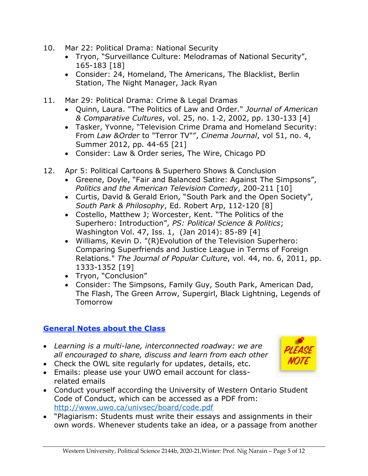- 10. Mar 22: Political Drama: National Security
	- Tryon, "Surveillance Culture: Melodramas of National Security", 165-183 [18]
	- Consider: 24, Homeland, The Americans, The Blacklist, Berlin Station, The Night Manager, Jack Ryan
- 11. Mar 29: Political Drama: Crime & Legal Dramas
	- Quinn, Laura. "The Politics of Law and Order." *Journal of American & Comparative Cultures*, vol. 25, no. 1‐2, 2002, pp. 130-133 [4]
	- Tasker, Yvonne, "Television Crime Drama and Homeland Security: From *Law &Order* to "Terror TV"", *Cinema Journal*, vol 51, no. 4, Summer 2012, pp. 44-65 [21]
	- Consider: Law & Order series, The Wire, Chicago PD
- 12. Apr 5: Political Cartoons & Superhero Shows & Conclusion
	- Greene, Doyle, "Fair and Balanced Satire: Against The Simpsons", *Politics and the American Television Comedy*, 200-211 [10]
	- Curtis, David & Gerald Erion, "South Park and the Open Society", *South Park & Philosophy*, Ed. Robert Arp, 112-120 [8]
	- Costello, Matthew J; Worcester, Kent. "The Politics of the Superhero: Introduction", *PS: Political Science & Politics*; Washington Vol. 47, Iss. 1, (Jan 2014): 85-89 [4]
	- Williams, Kevin D. "(R)Evolution of the Television Superhero: Comparing Superfriends and Justice League in Terms of Foreign Relations." *The Journal of Popular Culture*, vol. 44, no. 6, 2011, pp. 1333-1352 [19]
	- Tryon, "Conclusion"
	- Consider: The Simpsons, Family Guy, South Park, American Dad, The Flash, The Green Arrow, Supergirl, Black Lightning, Legends of Tomorrow

# **General Notes about the Class**

- *Learning is a multi-lane, interconnected roadway: we are all encouraged to share, discuss and learn from each other*
- Check the OWL site regularly for updates, details, etc.
- Emails: please use your UWO email account for classrelated emails
- Conduct yourself according the University of Western Ontario Student Code of Conduct, which can be accessed as a PDF from: <http://www.uwo.ca/univsec/board/code.pdf>
- "Plagiarism: Students must write their essays and assignments in their own words. Whenever students take an idea, or a passage from another

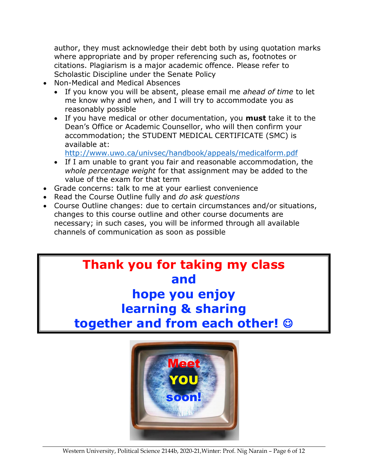author, they must acknowledge their debt both by using quotation marks where appropriate and by proper referencing such as, footnotes or citations. Plagiarism is a major academic offence. Please refer to Scholastic Discipline under the Senate Policy

- Non-Medical and Medical Absences
	- If you know you will be absent, please email me *ahead of time* to let me know why and when, and I will try to accommodate you as reasonably possible
	- If you have medical or other documentation, you **must** take it to the Dean's Office or Academic Counsellor, who will then confirm your accommodation; the STUDENT MEDICAL CERTIFICATE (SMC) is available at:

<http://www.uwo.ca/univsec/handbook/appeals/medicalform.pdf>

- If I am unable to grant you fair and reasonable accommodation, the *whole percentage weight* for that assignment may be added to the value of the exam for that term
- Grade concerns: talk to me at your earliest convenience
- Read the Course Outline fully and *do ask questions*
- Course Outline changes: due to certain circumstances and/or situations, changes to this course outline and other course documents are necessary; in such cases, you will be informed through all available channels of communication as soon as possible



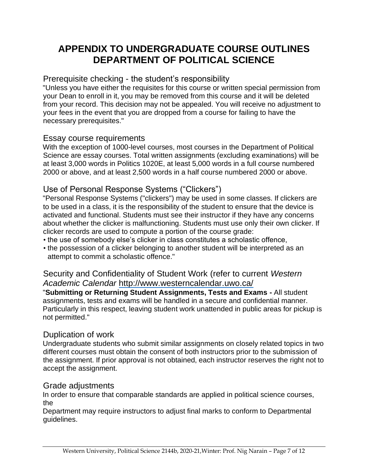# **APPENDIX TO UNDERGRADUATE COURSE OUTLINES DEPARTMENT OF POLITICAL SCIENCE**

## Prerequisite checking - the student's responsibility

"Unless you have either the requisites for this course or written special permission from your Dean to enroll in it, you may be removed from this course and it will be deleted from your record. This decision may not be appealed. You will receive no adjustment to your fees in the event that you are dropped from a course for failing to have the necessary prerequisites."

#### Essay course requirements

With the exception of 1000-level courses, most courses in the Department of Political Science are essay courses. Total written assignments (excluding examinations) will be at least 3,000 words in Politics 1020E, at least 5,000 words in a full course numbered 2000 or above, and at least 2,500 words in a half course numbered 2000 or above.

## Use of Personal Response Systems ("Clickers")

"Personal Response Systems ("clickers") may be used in some classes. If clickers are to be used in a class, it is the responsibility of the student to ensure that the device is activated and functional. Students must see their instructor if they have any concerns about whether the clicker is malfunctioning. Students must use only their own clicker. If clicker records are used to compute a portion of the course grade:

- the use of somebody else's clicker in class constitutes a scholastic offence,
- the possession of a clicker belonging to another student will be interpreted as an attempt to commit a scholastic offence."

#### Security and Confidentiality of Student Work (refer to current *Western Academic Calendar* <http://www.westerncalendar.uwo.ca/>

"**Submitting or Returning Student Assignments, Tests and Exams -** All student assignments, tests and exams will be handled in a secure and confidential manner. Particularly in this respect, leaving student work unattended in public areas for pickup is not permitted."

## Duplication of work

Undergraduate students who submit similar assignments on closely related topics in two different courses must obtain the consent of both instructors prior to the submission of the assignment. If prior approval is not obtained, each instructor reserves the right not to accept the assignment.

## Grade adjustments

In order to ensure that comparable standards are applied in political science courses, the

Department may require instructors to adjust final marks to conform to Departmental guidelines.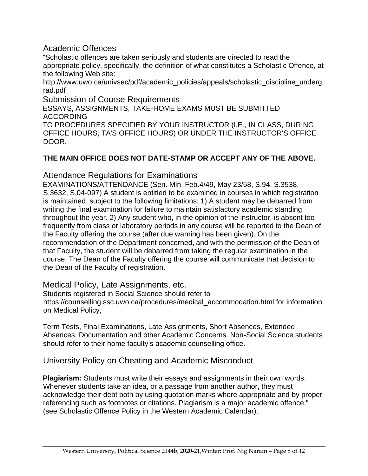Academic Offences

"Scholastic offences are taken seriously and students are directed to read the appropriate policy, specifically, the definition of what constitutes a Scholastic Offence, at the following Web site:

http://www.uwo.ca/univsec/pdf/academic\_policies/appeals/scholastic\_discipline\_underg rad.pdf

Submission of Course Requirements

ESSAYS, ASSIGNMENTS, TAKE-HOME EXAMS MUST BE SUBMITTED ACCORDING

TO PROCEDURES SPECIFIED BY YOUR INSTRUCTOR (I.E., IN CLASS, DURING OFFICE HOURS, TA'S OFFICE HOURS) OR UNDER THE INSTRUCTOR'S OFFICE DOOR.

#### **THE MAIN OFFICE DOES NOT DATE-STAMP OR ACCEPT ANY OF THE ABOVE.**

Attendance Regulations for Examinations

EXAMINATIONS/ATTENDANCE (Sen. Min. Feb.4/49, May 23/58, S.94, S.3538, S.3632, S.04-097) A student is entitled to be examined in courses in which registration is maintained, subject to the following limitations: 1) A student may be debarred from writing the final examination for failure to maintain satisfactory academic standing throughout the year. 2) Any student who, in the opinion of the instructor, is absent too frequently from class or laboratory periods in any course will be reported to the Dean of the Faculty offering the course (after due warning has been given). On the recommendation of the Department concerned, and with the permission of the Dean of that Faculty, the student will be debarred from taking the regular examination in the course. The Dean of the Faculty offering the course will communicate that decision to the Dean of the Faculty of registration.

Medical Policy, Late Assignments, etc.

Students registered in Social Science should refer to https://counselling.ssc.uwo.ca/procedures/medical\_accommodation.html for information on Medical Policy,

Term Tests, Final Examinations, Late Assignments, Short Absences, Extended Absences, Documentation and other Academic Concerns. Non-Social Science students should refer to their home faculty's academic counselling office.

University Policy on Cheating and Academic Misconduct

**Plagiarism:** Students must write their essays and assignments in their own words. Whenever students take an idea, or a passage from another author, they must acknowledge their debt both by using quotation marks where appropriate and by proper referencing such as footnotes or citations. Plagiarism is a major academic offence." (see Scholastic Offence Policy in the Western Academic Calendar).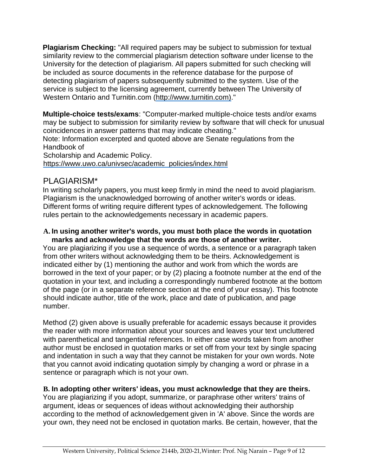**Plagiarism Checking:** "All required papers may be subject to submission for textual similarity review to the commercial plagiarism detection software under license to the University for the detection of plagiarism. All papers submitted for such checking will be included as source documents in the reference database for the purpose of detecting plagiarism of papers subsequently submitted to the system. Use of the service is subject to the licensing agreement, currently between The University of Western Ontario and Turnitin.com [\(http://www.turnitin.com\)."](http://www.turnitin.com)/)

**Multiple-choice tests/exams**: "Computer-marked multiple-choice tests and/or exams may be subject to submission for similarity review by software that will check for unusual coincidences in answer patterns that may indicate cheating."

Note: Information excerpted and quoted above are Senate regulations from the Handbook of

Scholarship and Academic Policy.

[https://www.uwo.ca/univsec/academic\\_policies/index.html](https://www.uwo.ca/univsec/academic_policies/index.html)

# PLAGIARISM\*

In writing scholarly papers, you must keep firmly in mind the need to avoid plagiarism. Plagiarism is the unacknowledged borrowing of another writer's words or ideas. Different forms of writing require different types of acknowledgement. The following rules pertain to the acknowledgements necessary in academic papers.

#### **A. In using another writer's words, you must both place the words in quotation marks and acknowledge that the words are those of another writer.**

You are plagiarizing if you use a sequence of words, a sentence or a paragraph taken from other writers without acknowledging them to be theirs. Acknowledgement is indicated either by (1) mentioning the author and work from which the words are borrowed in the text of your paper; or by (2) placing a footnote number at the end of the quotation in your text, and including a correspondingly numbered footnote at the bottom of the page (or in a separate reference section at the end of your essay). This footnote should indicate author, title of the work, place and date of publication, and page number.

Method (2) given above is usually preferable for academic essays because it provides the reader with more information about your sources and leaves your text uncluttered with parenthetical and tangential references. In either case words taken from another author must be enclosed in quotation marks or set off from your text by single spacing and indentation in such a way that they cannot be mistaken for your own words. Note that you cannot avoid indicating quotation simply by changing a word or phrase in a sentence or paragraph which is not your own.

## **B. In adopting other writers' ideas, you must acknowledge that they are theirs.**

You are plagiarizing if you adopt, summarize, or paraphrase other writers' trains of argument, ideas or sequences of ideas without acknowledging their authorship according to the method of acknowledgement given in 'A' above. Since the words are your own, they need not be enclosed in quotation marks. Be certain, however, that the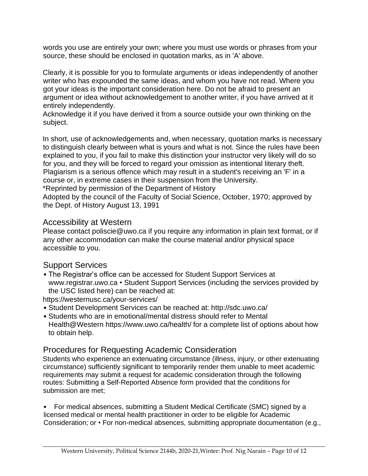words you use are entirely your own; where you must use words or phrases from your source, these should be enclosed in quotation marks, as in 'A' above.

Clearly, it is possible for you to formulate arguments or ideas independently of another writer who has expounded the same ideas, and whom you have not read. Where you got your ideas is the important consideration here. Do not be afraid to present an argument or idea without acknowledgement to another writer, if you have arrived at it entirely independently.

Acknowledge it if you have derived it from a source outside your own thinking on the subject.

In short, use of acknowledgements and, when necessary, quotation marks is necessary to distinguish clearly between what is yours and what is not. Since the rules have been explained to you, if you fail to make this distinction your instructor very likely will do so for you, and they will be forced to regard your omission as intentional literary theft. Plagiarism is a serious offence which may result in a student's receiving an 'F' in a course or, in extreme cases in their suspension from the University.

\*Reprinted by permission of the Department of History

Adopted by the council of the Faculty of Social Science, October, 1970; approved by the Dept. of History August 13, 1991

## Accessibility at Western

Please contact poliscie@uwo.ca if you require any information in plain text format, or if any other accommodation can make the course material and/or physical space accessible to you.

## Support Services

• The Registrar's office can be accessed for Student Support Services at www.registrar.uwo.ca • Student Support Services (including the services provided by the USC listed here) can be reached at:

https://westernusc.ca/your-services/

- Student Development Services can be reached at: http://sdc.uwo.ca/
- Students who are in emotional/mental distress should refer to Mental Health@Western https://www.uwo.ca/health/ for a complete list of options about how to obtain help.

## Procedures for Requesting Academic Consideration

Students who experience an extenuating circumstance (illness, injury, or other extenuating circumstance) sufficiently significant to temporarily render them unable to meet academic requirements may submit a request for academic consideration through the following routes: Submitting a Self-Reported Absence form provided that the conditions for submission are met;

• For medical absences, submitting a Student Medical Certificate (SMC) signed by a licensed medical or mental health practitioner in order to be eligible for Academic Consideration; or • For non-medical absences, submitting appropriate documentation (e.g.,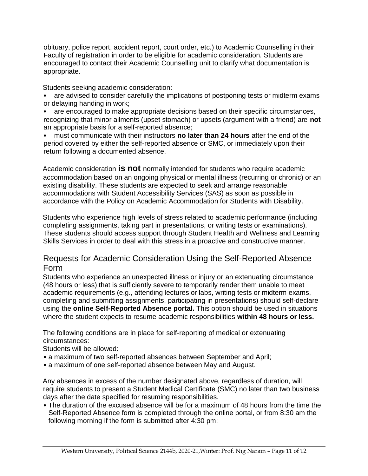obituary, police report, accident report, court order, etc.) to Academic Counselling in their Faculty of registration in order to be eligible for academic consideration. Students are encouraged to contact their Academic Counselling unit to clarify what documentation is appropriate.

Students seeking academic consideration:

• are advised to consider carefully the implications of postponing tests or midterm exams or delaying handing in work;

• are encouraged to make appropriate decisions based on their specific circumstances, recognizing that minor ailments (upset stomach) or upsets (argument with a friend) are **not**  an appropriate basis for a self-reported absence;

• must communicate with their instructors **no later than 24 hours** after the end of the period covered by either the self-reported absence or SMC, or immediately upon their return following a documented absence.

Academic consideration **is not** normally intended for students who require academic accommodation based on an ongoing physical or mental illness (recurring or chronic) or an existing disability. These students are expected to seek and arrange reasonable accommodations with Student Accessibility Services (SAS) as soon as possible in accordance with the Policy on Academic Accommodation for Students with Disability.

Students who experience high levels of stress related to academic performance (including completing assignments, taking part in presentations, or writing tests or examinations). These students should access support through Student Health and Wellness and Learning Skills Services in order to deal with this stress in a proactive and constructive manner.

## Requests for Academic Consideration Using the Self-Reported Absence Form

Students who experience an unexpected illness or injury or an extenuating circumstance (48 hours or less) that is sufficiently severe to temporarily render them unable to meet academic requirements (e.g., attending lectures or labs, writing tests or midterm exams, completing and submitting assignments, participating in presentations) should self-declare using the **online Self-Reported Absence portal.** This option should be used in situations where the student expects to resume academic responsibilities **within 48 hours or less.** 

The following conditions are in place for self-reporting of medical or extenuating circumstances:

Students will be allowed:

- a maximum of two self-reported absences between September and April;
- a maximum of one self-reported absence between May and August.

Any absences in excess of the number designated above, regardless of duration, will require students to present a Student Medical Certificate (SMC) no later than two business days after the date specified for resuming responsibilities.

• The duration of the excused absence will be for a maximum of 48 hours from the time the Self-Reported Absence form is completed through the online portal, or from 8:30 am the following morning if the form is submitted after 4:30 pm;